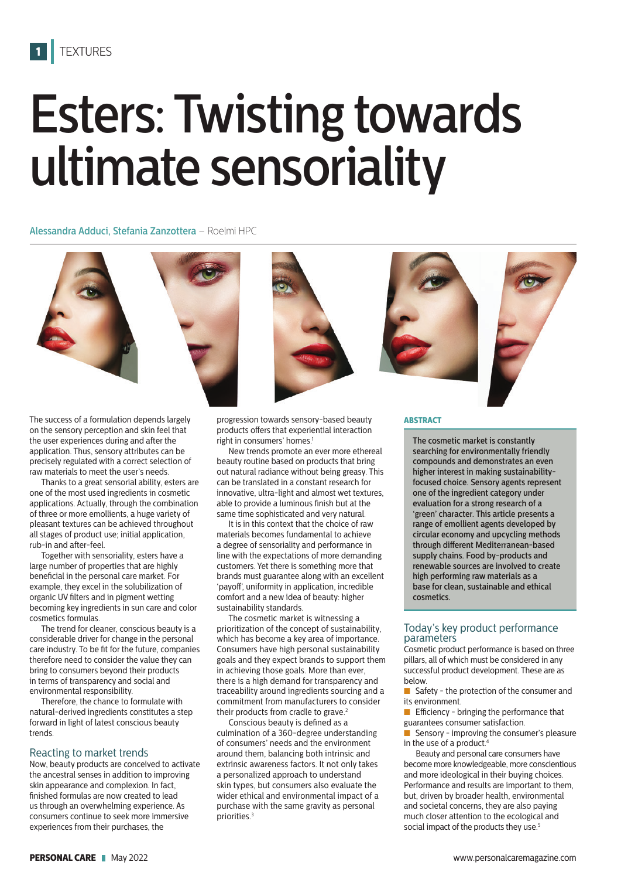# Esters: Twisting towards ultimate sensoriality

Alessandra Adduci, Stefania Zanzottera – Roelmi HPC



The success of a formulation depends largely on the sensory perception and skin feel that the user experiences during and after the application. Thus, sensory attributes can be precisely regulated with a correct selection of raw materials to meet the user's needs.

Thanks to a great sensorial ability, esters are one of the most used ingredients in cosmetic applications. Actually, through the combination of three or more emollients, a huge variety of pleasant textures can be achieved throughout all stages of product use; initial application, rub-in and after-feel.

Together with sensoriality, esters have a large number of properties that are highly beneficial in the personal care market. For example, they excel in the solubilization of organic UV filters and in pigment wetting becoming key ingredients in sun care and color cosmetics formulas.

The trend for cleaner, conscious beauty is a considerable driver for change in the personal care industry. To be fit for the future, companies therefore need to consider the value they can bring to consumers beyond their products in terms of transparency and social and environmental responsibility.

Therefore, the chance to formulate with natural-derived ingredients constitutes a step forward in light of latest conscious beauty trends.

# Reacting to market trends

Now, beauty products are conceived to activate the ancestral senses in addition to improving skin appearance and complexion. In fact, finished formulas are now created to lead us through an overwhelming experience. As consumers continue to seek more immersive experiences from their purchases, the

progression towards sensory-based beauty products offers that experiential interaction right in consumers' homes.<sup>1</sup>

New trends promote an ever more ethereal beauty routine based on products that bring out natural radiance without being greasy. This can be translated in a constant research for innovative, ultra-light and almost wet textures, able to provide a luminous finish but at the same time sophisticated and very natural.

It is in this context that the choice of raw materials becomes fundamental to achieve a degree of sensoriality and performance in line with the expectations of more demanding customers. Yet there is something more that brands must guarantee along with an excellent 'payoff', uniformity in application, incredible comfort and a new idea of beauty: higher sustainability standards.

The cosmetic market is witnessing a prioritization of the concept of sustainability, which has become a key area of importance. Consumers have high personal sustainability goals and they expect brands to support them in achieving those goals. More than ever, there is a high demand for transparency and traceability around ingredients sourcing and a commitment from manufacturers to consider their products from cradle to grave.<sup>2</sup>

Conscious beauty is defined as a culmination of a 360-degree understanding of consumers' needs and the environment around them, balancing both intrinsic and extrinsic awareness factors. It not only takes a personalized approach to understand skin types, but consumers also evaluate the wider ethical and environmental impact of a purchase with the same gravity as personal priorities.<sup>3</sup>

### **ABSTRACT**

The cosmetic market is constantly searching for environmentally friendly compounds and demonstrates an even higher interest in making sustainabilityfocused choice. Sensory agents represent one of the ingredient category under evaluation for a strong research of a 'green' character. This article presents a range of emollient agents developed by circular economy and upcycling methods through different Mediterranean-based supply chains. Food by-products and renewable sources are involved to create high performing raw materials as a base for clean, sustainable and ethical cosmetics.

# Today's key product performance parameters

Cosmetic product performance is based on three pillars, all of which must be considered in any successful product development. These are as below.

■ Safety - the protection of the consumer and its environment.

■ Efficiency - bringing the performance that guarantees consumer satisfaction.

■ Sensory - improving the consumer's pleasure in the use of a product.<sup>4</sup>

Beauty and personal care consumers have become more knowledgeable, more conscientious and more ideological in their buying choices. Performance and results are important to them, but, driven by broader health, environmental and societal concerns, they are also paying much closer attention to the ecological and social impact of the products they use.<sup>5</sup>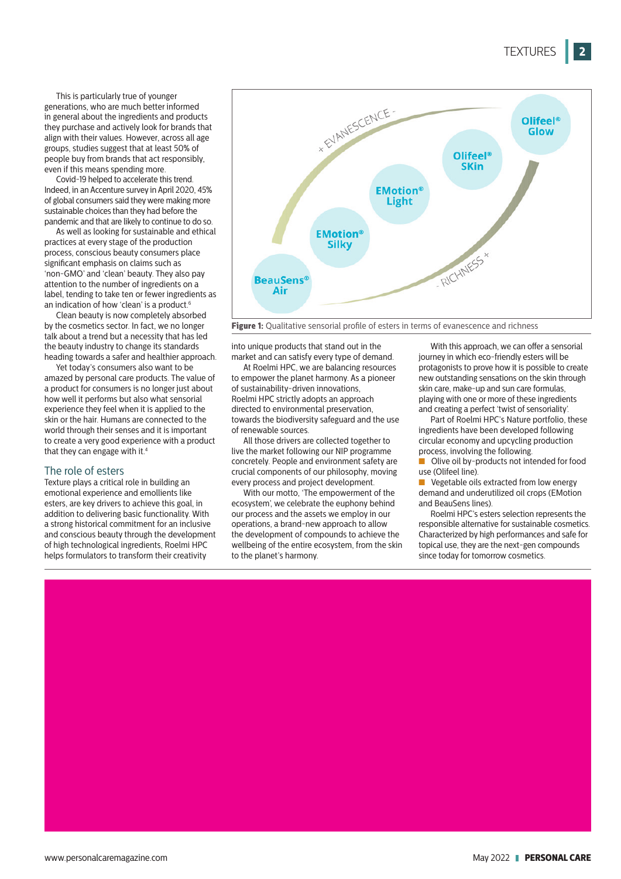This is particularly true of younger generations, who are much better informed in general about the ingredients and products they purchase and actively look for brands that align with their values. However, across all age groups, studies suggest that at least 50% of people buy from brands that act responsibly, even if this means spending more.

Covid-19 helped to accelerate this trend. Indeed, in an Accenture survey in April 2020, 45% of global consumers said they were making more sustainable choices than they had before the pandemic and that are likely to continue to do so.

As well as looking for sustainable and ethical practices at every stage of the production process, conscious beauty consumers place significant emphasis on claims such as 'non-GMO' and 'clean' beauty. They also pay attention to the number of ingredients on a label, tending to take ten or fewer ingredients as an indication of how 'clean' is a product.<sup>6</sup>

Clean beauty is now completely absorbed by the cosmetics sector. In fact, we no longer talk about a trend but a necessity that has led the beauty industry to change its standards heading towards a safer and healthier approach.

Yet today's consumers also want to be amazed by personal care products. The value of a product for consumers is no longer just about how well it performs but also what sensorial experience they feel when it is applied to the skin or the hair. Humans are connected to the world through their senses and it is important to create a very good experience with a product that they can engage with it.<sup>4</sup>

## The role of esters

Texture plays a critical role in building an emotional experience and emollients like esters, are key drivers to achieve this goal, in addition to delivering basic functionality. With a strong historical commitment for an inclusive and conscious beauty through the development of high technological ingredients, Roelmi HPC helps formulators to transform their creativity



**Figure 1:** Qualitative sensorial profile of esters in terms of evanescence and richness

into unique products that stand out in the market and can satisfy every type of demand.

At Roelmi HPC, we are balancing resources to empower the planet harmony. As a pioneer of sustainability-driven innovations, Roelmi HPC strictly adopts an approach directed to environmental preservation, towards the biodiversity safeguard and the use of renewable sources.

All those drivers are collected together to live the market following our NIP programme concretely. People and environment safety are crucial components of our philosophy, moving every process and project development.

With our motto, 'The empowerment of the ecosystem', we celebrate the euphony behind our process and the assets we employ in our operations, a brand-new approach to allow the development of compounds to achieve the wellbeing of the entire ecosystem, from the skin to the planet's harmony.

With this approach, we can offer a sensorial journey in which eco-friendly esters will be protagonists to prove how it is possible to create new outstanding sensations on the skin through skin care, make-up and sun care formulas, playing with one or more of these ingredients and creating a perfect 'twist of sensoriality'.

Part of Roelmi HPC's Nature portfolio, these ingredients have been developed following circular economy and upcycling production process, involving the following.

■ Olive oil by-products not intended for food use (Olifeel line).

■ Vegetable oils extracted from low energy demand and underutilized oil crops (EMotion and BeauSens lines).

Roelmi HPC's esters selection represents the responsible alternative for sustainable cosmetics. Characterized by high performances and safe for topical use, they are the next-gen compounds since today for tomorrow cosmetics.